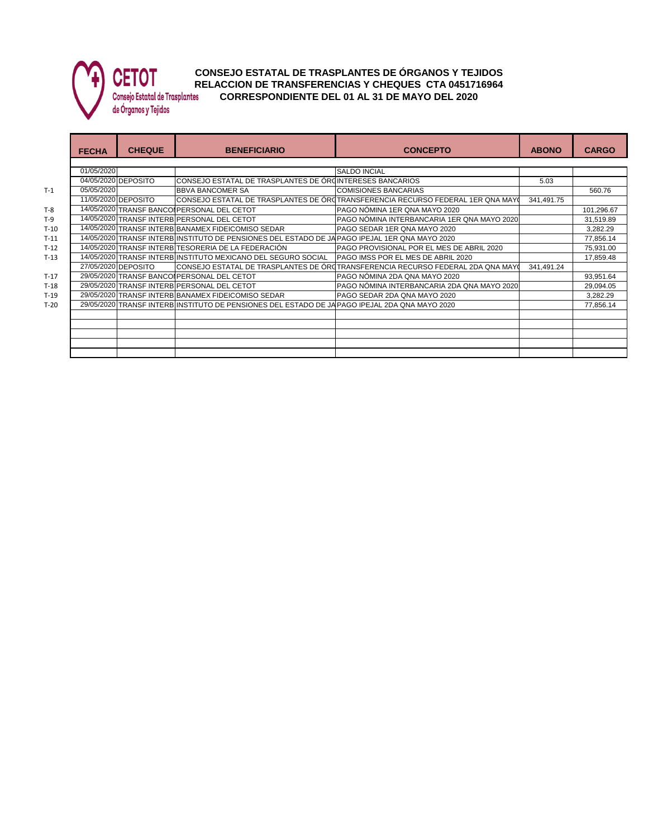

## **CONSEJO ESTATAL DE TRASPLANTES DE ÓRGANOS Y TEJIDOS VEIVI** RELACCION DE TRANSFERENCIAS Y CHEQUES CTA 0451716964<br>Consejo Estatal de Trasplantes CORRESPONDIENTE DEL 01 AL 31 DE MAYO DEL 2020 **CORRESPONDIENTE DEL 01 AL 31 DE MAYO DEL 2020**

de Órganos y Tejidos

|        | <b>FECHA</b> | <b>CHEQUE</b>       | <b>BENEFICIARIO</b>                                                                           | <b>CONCEPTO</b>                                                                  | <b>ABONO</b> | <b>CARGO</b> |  |  |  |
|--------|--------------|---------------------|-----------------------------------------------------------------------------------------------|----------------------------------------------------------------------------------|--------------|--------------|--|--|--|
|        |              |                     |                                                                                               |                                                                                  |              |              |  |  |  |
|        | 01/05/2020   |                     |                                                                                               | <b>SALDO INCIAL</b>                                                              |              |              |  |  |  |
|        |              | 04/05/2020 DEPOSITO | CONSEJO ESTATAL DE TRASPLANTES DE ÓRQINTERESES BANCARIOS                                      |                                                                                  | 5.03         |              |  |  |  |
| $T-1$  | 05/05/2020   |                     | <b>BBVA BANCOMER SA</b>                                                                       | <b>COMISIONES BANCARIAS</b>                                                      |              | 560.76       |  |  |  |
|        |              | 11/05/2020 DEPOSITO |                                                                                               | CONSEJO ESTATAL DE TRASPLANTES DE ORCTRANSFERENCIA RECURSO FEDERAL 1ER QNA MAYC  | 341.491.75   |              |  |  |  |
| $T-8$  |              |                     | 14/05/2020 TRANSF BANCOL PERSONAL DEL CETOT                                                   | PAGO NÓMINA 1ER QNA MAYO 2020                                                    |              | 101,296.67   |  |  |  |
| T-9    |              |                     | 14/05/2020 TRANSF INTERB PERSONAL DEL CETOT                                                   | PAGO NÓMINA INTERBANCARIA 1ER QNA MAYO 2020                                      |              | 31,519.89    |  |  |  |
| $T-10$ |              |                     | 14/05/2020 TRANSF INTERB BANAMEX FIDEICOMISO SEDAR                                            | PAGO SEDAR 1ER QNA MAYO 2020                                                     |              | 3,282.29     |  |  |  |
| $T-11$ |              |                     | 14/05/2020 TRANSF INTERB INSTITUTO DE PENSIONES DEL ESTADO DE JAPAGO IPEJAL 1ER QNA MAYO 2020 |                                                                                  |              | 77,856.14    |  |  |  |
| $T-12$ |              |                     | 14/05/2020 TRANSF INTERB TESORERIA DE LA FEDERACIÓN                                           | PAGO PROVISIONAL POR EL MES DE ABRIL 2020                                        |              | 75,931.00    |  |  |  |
| $T-13$ |              |                     | 14/05/2020 TRANSF INTERBINSTITUTO MEXICANO DEL SEGURO SOCIAL                                  | PAGO IMSS POR EL MES DE ABRIL 2020                                               |              | 17,859.48    |  |  |  |
|        |              | 27/05/2020 DEPOSITO |                                                                                               | ICONSEJO ESTATAL DE TRASPLANTES DE ÓROTRANSFERENCIA RECURSO FEDERAL 2DA QNA MAYO | 341.491.24   |              |  |  |  |
| $T-17$ |              |                     | 29/05/2020 TRANSF BANCOLPERSONAL DEL CETOT                                                    | PAGO NÓMINA 2DA QNA MAYO 2020                                                    |              | 93,951.64    |  |  |  |
| $T-18$ |              |                     | 29/05/2020 TRANSF INTERB PERSONAL DEL CETOT                                                   | PAGO NOMINA INTERBANCARIA 2DA QNA MAYO 2020                                      |              | 29,094.05    |  |  |  |
| T-19   |              |                     | 29/05/2020 TRANSF INTERB BANAMEX FIDEICOMISO SEDAR                                            | PAGO SEDAR 2DA QNA MAYO 2020                                                     |              | 3,282.29     |  |  |  |
| $T-20$ |              |                     | 29/05/2020 TRANSF INTERB INSTITUTO DE PENSIONES DEL ESTADO DE JAPAGO IPEJAL 2DA QNA MAYO 2020 |                                                                                  |              | 77,856.14    |  |  |  |
|        |              |                     |                                                                                               |                                                                                  |              |              |  |  |  |
|        |              |                     |                                                                                               |                                                                                  |              |              |  |  |  |
|        |              |                     |                                                                                               |                                                                                  |              |              |  |  |  |
|        |              |                     |                                                                                               |                                                                                  |              |              |  |  |  |
|        |              |                     |                                                                                               |                                                                                  |              |              |  |  |  |